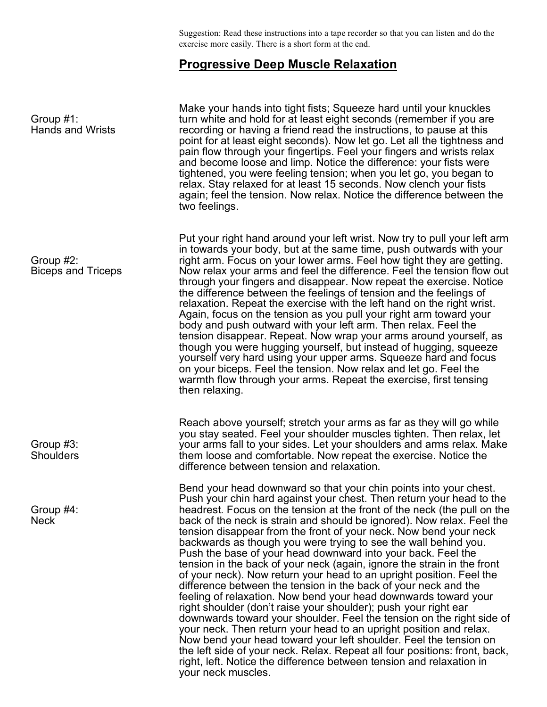Suggestion: Read these instructions into a tape recorder so that you can listen and do the exercise more easily. There is a short form at the end.

## **Progressive Deep Muscle Relaxation**

| Group $#1$ :<br><b>Hands and Wrists</b> | Make your hands into tight fists; Squeeze hard until your knuckles<br>turn white and hold for at least eight seconds (remember if you are<br>recording or having a friend read the instructions, to pause at this<br>point for at least eight seconds). Now let go. Let all the tightness and<br>pain flow through your fingertips. Feel your fingers and wrists relax<br>and become loose and limp. Notice the difference: your fists were<br>tightened, you were feeling tension; when you let go, you began to<br>relax. Stay relaxed for at least 15 seconds. Now clench your fists<br>again; feel the tension. Now relax. Notice the difference between the<br>two feelings.                                                                                                                                                                                                                                                                                                                                                                                                                                                                                                                                                                                   |
|-----------------------------------------|---------------------------------------------------------------------------------------------------------------------------------------------------------------------------------------------------------------------------------------------------------------------------------------------------------------------------------------------------------------------------------------------------------------------------------------------------------------------------------------------------------------------------------------------------------------------------------------------------------------------------------------------------------------------------------------------------------------------------------------------------------------------------------------------------------------------------------------------------------------------------------------------------------------------------------------------------------------------------------------------------------------------------------------------------------------------------------------------------------------------------------------------------------------------------------------------------------------------------------------------------------------------|
| Group #2:<br><b>Biceps and Triceps</b>  | Put your right hand around your left wrist. Now try to pull your left arm<br>in towards your body, but at the same time, push outwards with your<br>right arm. Focus on your lower arms. Feel how tight they are getting.<br>Now relax your arms and feel the difference. Feel the tension flow out<br>through your fingers and disappear. Now repeat the exercise. Notice<br>the difference between the feelings of tension and the feelings of<br>relaxation. Repeat the exercise with the left hand on the right wrist.<br>Again, focus on the tension as you pull your right arm toward your<br>body and push outward with your left arm. Then relax. Feel the<br>tension disappear. Repeat. Now wrap your arms around yourself, as<br>though you were hugging yourself, but instead of hugging, squeeze<br>yourself very hard using your upper arms. Squeeze hard and focus<br>on your biceps. Feel the tension. Now relax and let go. Feel the<br>warmth flow through your arms. Repeat the exercise, first tensing<br>then relaxing.                                                                                                                                                                                                                         |
| Group #3:<br><b>Shoulders</b>           | Reach above yourself; stretch your arms as far as they will go while<br>you stay seated. Feel your shoulder muscles tighten. Then relax, let<br>your arms fall to your sides. Let your shoulders and arms relax. Make<br>them loose and comfortable. Now repeat the exercise. Notice the<br>difference between tension and relaxation.                                                                                                                                                                                                                                                                                                                                                                                                                                                                                                                                                                                                                                                                                                                                                                                                                                                                                                                              |
| Group $#4$ :<br><b>Neck</b>             | Bend your head downward so that your chin points into your chest.<br>Push your chin hard against your chest. Then return your head to the<br>headrest. Focus on the tension at the front of the neck (the pull on the<br>back of the neck is strain and should be ignored). Now relax. Feel the<br>tension disappear from the front of your neck. Now bend your neck<br>backwards as though you were trying to see the wall behind you.<br>Push the base of your head downward into your back. Feel the<br>tension in the back of your neck (again, ignore the strain in the front<br>of your neck). Now return your head to an upright position. Feel the<br>difference between the tension in the back of your neck and the<br>feeling of relaxation. Now bend your head downwards toward your<br>right shoulder (don't raise your shoulder); push your right ear<br>downwards toward your shoulder. Feel the tension on the right side of<br>your neck. Then return your head to an upright position and relax.<br>Now bend your head toward your left shoulder. Feel the tension on<br>the left side of your neck. Relax. Repeat all four positions: front, back,<br>right, left. Notice the difference between tension and relaxation in<br>your neck muscles. |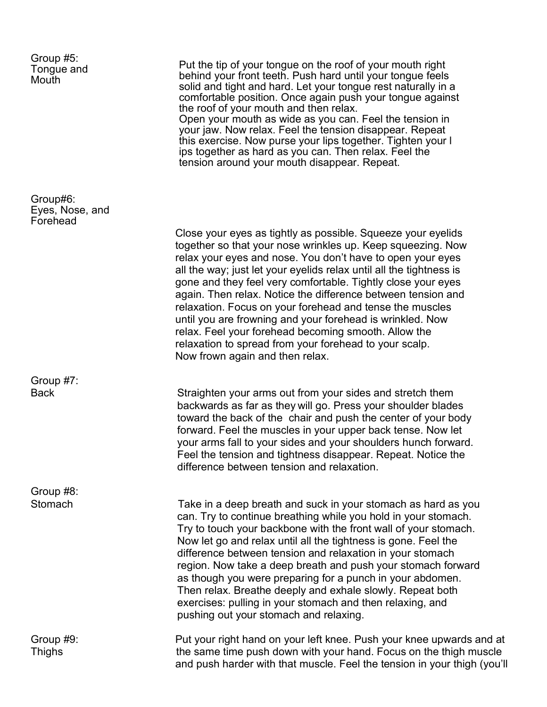| Group #5:<br>Tongue and<br>Mouth        | Put the tip of your tongue on the roof of your mouth right<br>behind your front teeth. Push hard until your tongue feels<br>solid and tight and hard. Let your tongue rest naturally in a<br>comfortable position. Once again push your tongue against<br>the roof of your mouth and then relax.<br>Open your mouth as wide as you can. Feel the tension in<br>your jaw. Now relax. Feel the tension disappear. Repeat<br>this exercise. Now purse your lips together. Tighten your I<br>ips together as hard as you can. Then relax. Feel the<br>tension around your mouth disappear. Repeat.                                                                                 |
|-----------------------------------------|--------------------------------------------------------------------------------------------------------------------------------------------------------------------------------------------------------------------------------------------------------------------------------------------------------------------------------------------------------------------------------------------------------------------------------------------------------------------------------------------------------------------------------------------------------------------------------------------------------------------------------------------------------------------------------|
| Group#6:<br>Eyes, Nose, and<br>Forehead |                                                                                                                                                                                                                                                                                                                                                                                                                                                                                                                                                                                                                                                                                |
|                                         | Close your eyes as tightly as possible. Squeeze your eyelids<br>together so that your nose wrinkles up. Keep squeezing. Now<br>relax your eyes and nose. You don't have to open your eyes<br>all the way; just let your eyelids relax until all the tightness is<br>gone and they feel very comfortable. Tightly close your eyes<br>again. Then relax. Notice the difference between tension and<br>relaxation. Focus on your forehead and tense the muscles<br>until you are frowning and your forehead is wrinkled. Now<br>relax. Feel your forehead becoming smooth. Allow the<br>relaxation to spread from your forehead to your scalp.<br>Now frown again and then relax. |
| Group #7:<br><b>Back</b>                | Straighten your arms out from your sides and stretch them<br>backwards as far as they will go. Press your shoulder blades<br>toward the back of the chair and push the center of your body<br>forward. Feel the muscles in your upper back tense. Now let<br>your arms fall to your sides and your shoulders hunch forward.<br>Feel the tension and tightness disappear. Repeat. Notice the<br>difference between tension and relaxation.                                                                                                                                                                                                                                      |
| Group #8:<br>Stomach                    | Take in a deep breath and suck in your stomach as hard as you<br>can. Try to continue breathing while you hold in your stomach.<br>Try to touch your backbone with the front wall of your stomach.<br>Now let go and relax until all the tightness is gone. Feel the<br>difference between tension and relaxation in your stomach<br>region. Now take a deep breath and push your stomach forward<br>as though you were preparing for a punch in your abdomen.<br>Then relax. Breathe deeply and exhale slowly. Repeat both<br>exercises: pulling in your stomach and then relaxing, and<br>pushing out your stomach and relaxing.                                             |
| Group #9:<br><b>Thighs</b>              | Put your right hand on your left knee. Push your knee upwards and at<br>the same time push down with your hand. Focus on the thigh muscle<br>and push harder with that muscle. Feel the tension in your thigh (you'll                                                                                                                                                                                                                                                                                                                                                                                                                                                          |